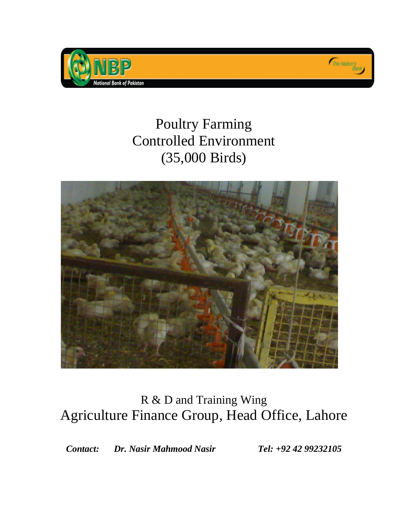





# R & D and Training Wing Agriculture Finance Group, Head Office, Lahore

*Contact: Dr. Nasir Mahmood Nasir Tel: +92 42 99232105*

The Nation's<br>Bank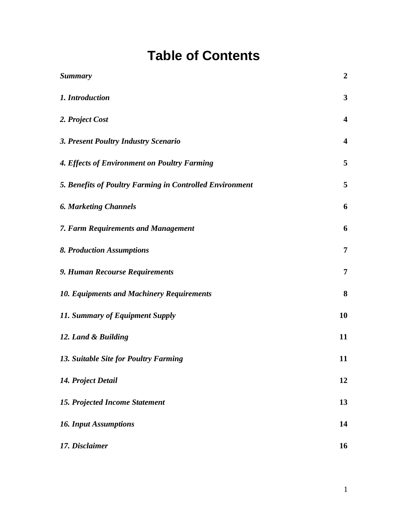# **Table of Contents**

| <b>Summary</b>                                           | $\boldsymbol{2}$        |
|----------------------------------------------------------|-------------------------|
| 1. Introduction                                          | $\mathbf{3}$            |
| 2. Project Cost                                          | $\overline{\mathbf{4}}$ |
| 3. Present Poultry Industry Scenario                     | $\overline{\mathbf{4}}$ |
| 4. Effects of Environment on Poultry Farming             | 5                       |
| 5. Benefits of Poultry Farming in Controlled Environment | 5                       |
| <b>6. Marketing Channels</b>                             | 6                       |
| 7. Farm Requirements and Management                      | 6                       |
| <b>8. Production Assumptions</b>                         | $\overline{7}$          |
| 9. Human Recourse Requirements                           | $\overline{7}$          |
| <b>10. Equipments and Machinery Requirements</b>         | 8                       |
| 11. Summary of Equipment Supply                          | 10                      |
| 12. Land & Building                                      | 11                      |
| 13. Suitable Site for Poultry Farming                    | 11                      |
| 14. Project Detail                                       | 12                      |
| <b>15. Projected Income Statement</b>                    | 13                      |
| <b>16. Input Assumptions</b>                             | 14                      |
| 17. Disclaimer                                           | 16                      |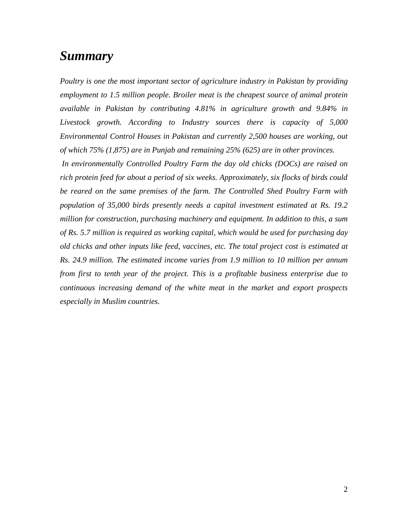# <span id="page-2-0"></span>*Summary*

*Poultry is one the most important sector of agriculture industry in Pakistan by providing employment to 1.5 million people. Broiler meat is the cheapest source of animal protein available in Pakistan by contributing 4.81% in agriculture growth and 9.84% in Livestock growth. According to Industry sources there is capacity of 5,000 Environmental Control Houses in Pakistan and currently 2,500 houses are working, out of which 75% (1,875) are in Punjab and remaining 25% (625) are in other provinces.*

*In environmentally Controlled Poultry Farm the day old chicks (DOCs) are raised on rich protein feed for about a period of six weeks. Approximately, six flocks of birds could be reared on the same premises of the farm. The Controlled Shed Poultry Farm with population of 35,000 birds presently needs a capital investment estimated at Rs. 19.2 million for construction, purchasing machinery and equipment. In addition to this, a sum of Rs. 5.7 million is required as working capital, which would be used for purchasing day old chicks and other inputs like feed, vaccines, etc. The total project cost is estimated at Rs. 24.9 million. The estimated income varies from 1.9 million to 10 million per annum from first to tenth year of the project. This is a profitable business enterprise due to continuous increasing demand of the white meat in the market and export prospects especially in Muslim countries.*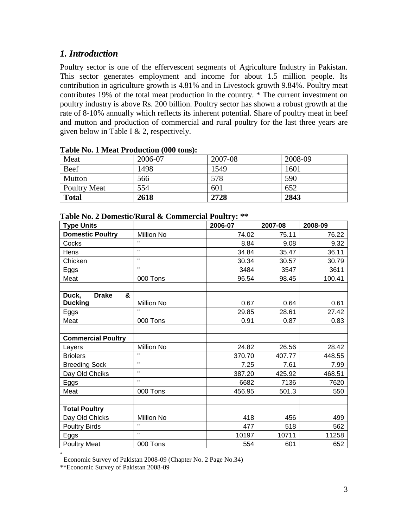## <span id="page-3-0"></span>*1. Introduction*

Poultry sector is one of the effervescent segments of Agriculture Industry in Pakistan. This sector generates employment and income for about 1.5 million people. Its contribution in agriculture growth is 4.81% and in Livestock growth 9.84%. Poultry meat contributes 19% of the total meat production in the country. \* The current investment on poultry industry is above Rs. 200 billion. Poultry sector has shown a robust growth at the rate of 8-10% annually which reflects its inherent potential. Share of poultry meat in beef and mutton and production of commercial and rural poultry for the last three years are given below in Table I & 2, respectively.

| $-$ 000 $-$ 000 $-$ 1.000 $-$ 0.000 $-$ 0.000 $-$ 0.000 $-$ 0.000 $-$ 0.000 $-$ 0.000 $-$ 0.000 $-$ 0.000 $-$ 0.000 $-$ 0.000 $-$ 0.000 $-$ 0.000 $-$ 0.000 $-$ 0.000 $-$ 0.000 $-$ 0.000 $-$ 0.000 $-$ 0.000 $-$ 0.000 $-$ 0 |         |         |         |
|-------------------------------------------------------------------------------------------------------------------------------------------------------------------------------------------------------------------------------|---------|---------|---------|
| Meat                                                                                                                                                                                                                          | 2006-07 | 2007-08 | 2008-09 |
| Beef                                                                                                                                                                                                                          | 1498    | 1549    | 1601    |
| Mutton                                                                                                                                                                                                                        | 566     | 578     | 590     |
| <b>Poultry Meat</b>                                                                                                                                                                                                           | 554     | 601     | 652     |
| <b>Total</b>                                                                                                                                                                                                                  | 2618    | 2728    | 2843    |

#### **Table No. 1 Meat Production (000 tons):**

| Table Ind. 2 Domestic/Kuraf & Commercial Fould y: |                   |         |         |         |
|---------------------------------------------------|-------------------|---------|---------|---------|
| <b>Type Units</b>                                 |                   | 2006-07 | 2007-08 | 2008-09 |
| <b>Domestic Poultry</b>                           | <b>Million No</b> | 74.02   | 75.11   | 76.22   |
| Cocks                                             | $\mathbf{u}$      | 8.84    | 9.08    | 9.32    |
| Hens                                              | $\mathbf{u}$      | 34.84   | 35.47   | 36.11   |
| Chicken                                           | $\mathbf{u}$      | 30.34   | 30.57   | 30.79   |
| Eggs                                              | $\mathbf{u}$      | 3484    | 3547    | 3611    |
| Meat                                              | 000 Tons          | 96.54   | 98.45   | 100.41  |
|                                                   |                   |         |         |         |
| <b>Drake</b><br>Duck,<br>&                        |                   |         |         |         |
| <b>Ducking</b>                                    | <b>Million No</b> | 0.67    | 0.64    | 0.61    |
| Eggs                                              | $\mathbf{u}$      | 29.85   | 28.61   | 27.42   |
| Meat                                              | 000 Tons          | 0.91    | 0.87    | 0.83    |
|                                                   |                   |         |         |         |
| <b>Commercial Poultry</b>                         |                   |         |         |         |
| Layers                                            | Million No        | 24.82   | 26.56   | 28.42   |
| <b>Briolers</b>                                   | $\mathbf{u}$      | 370.70  | 407.77  | 448.55  |
| <b>Breeding Sock</b>                              | $\mathbf H$       | 7.25    | 7.61    | 7.99    |
| Day Old Chciks                                    | $\mathbf{u}$      | 387.20  | 425.92  | 468.51  |
| Eggs                                              | $\mathbf{u}$      | 6682    | 7136    | 7620    |
| Meat                                              | 000 Tons          | 456.95  | 501.3   | 550     |
|                                                   |                   |         |         |         |
| <b>Total Poultry</b>                              |                   |         |         |         |
| Day Old Chicks                                    | Million No        | 418     | 456     | 499     |
| <b>Poultry Birds</b>                              | $\mathbf{u}$      | 477     | 518     | 562     |
| Eggs                                              | $\mathbf{u}$      | 10197   | 10711   | 11258   |
| <b>Poultry Meat</b>                               | 000 Tons          | 554     | 601     | 652     |

#### **Table No. 2 Domestic/Rural & Commercial Poultry: \*\***

<sup>\*</sup>  Economic Survey of Pakistan 2008-09 (Chapter No. 2 Page No.34)

<sup>\*\*</sup>Economic Survey of Pakistan 2008-09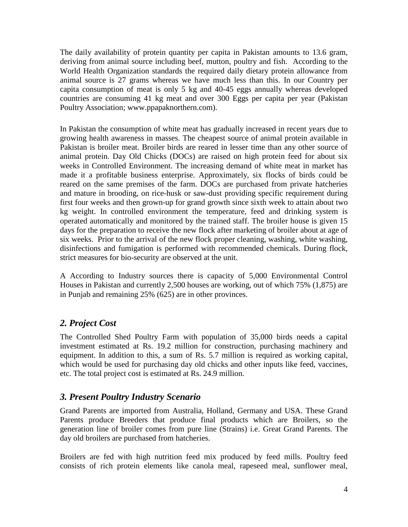The daily availability of protein quantity per capita in Pakistan amounts to 13.6 gram, deriving from animal source including beef, mutton, poultry and fish. According to the World Health Organization standards the required daily dietary protein allowance from animal source is 27 grams whereas we have much less than this. In our Country per capita consumption of meat is only 5 kg and 40-45 eggs annually whereas developed countries are consuming 41 kg meat and over 300 Eggs per capita per year (Pakistan Poultry Association; www.ppapaknorthern.com).

In Pakistan the consumption of white meat has gradually increased in recent years due to growing health awareness in masses. The cheapest source of animal protein available in Pakistan is broiler meat. Broiler birds are reared in lesser time than any other source of animal protein. Day Old Chicks (DOCs) are raised on high protein feed for about six weeks in Controlled Environment. The increasing demand of white meat in market has made it a profitable business enterprise. Approximately, six flocks of birds could be reared on the same premises of the farm. DOCs are purchased from private hatcheries and mature in brooding, on rice-husk or saw-dust providing specific requirement during first four weeks and then grown-up for grand growth since sixth week to attain about two kg weight. In controlled environment the temperature, feed and drinking system is operated automatically and monitored by the trained staff. The broiler house is given 15 days for the preparation to receive the new flock after marketing of broiler about at age of six weeks. Prior to the arrival of the new flock proper cleaning, washing, white washing, disinfections and fumigation is performed with recommended chemicals. During flock, strict measures for bio-security are observed at the unit.

A According to Industry sources there is capacity of 5,000 Environmental Control Houses in Pakistan and currently 2,500 houses are working, out of which 75% (1,875) are in Punjab and remaining 25% (625) are in other provinces.

## <span id="page-4-0"></span>*2. Project Cost*

The Controlled Shed Poultry Farm with population of 35,000 birds needs a capital investment estimated at Rs. 19.2 million for construction, purchasing machinery and equipment. In addition to this, a sum of Rs. 5.7 million is required as working capital, which would be used for purchasing day old chicks and other inputs like feed, vaccines, etc. The total project cost is estimated at Rs. 24.9 million.

## <span id="page-4-1"></span>*3. Present Poultry Industry Scenario*

Grand Parents are imported from Australia, Holland, Germany and USA. These Grand Parents produce Breeders that produce final products which are Broilers, so the generation line of broiler comes from pure line (Strains) i.e. Great Grand Parents. The day old broilers are purchased from hatcheries.

Broilers are fed with high nutrition feed mix produced by feed mills. Poultry feed consists of rich protein elements like canola meal, rapeseed meal, sunflower meal,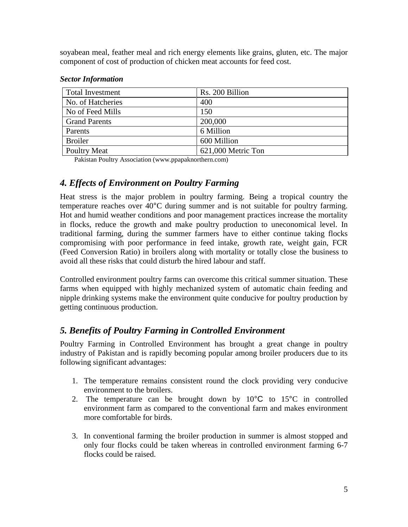soyabean meal, feather meal and rich energy elements like grains, gluten, etc. The major component of cost of production of chicken meat accounts for feed cost.

| <b>Total Investment</b> | Rs. 200 Billion    |
|-------------------------|--------------------|
| No. of Hatcheries       | 400                |
| No of Feed Mills        | 150                |
| <b>Grand Parents</b>    | 200,000            |
| Parents                 | 6 Million          |
| <b>Broiler</b>          | 600 Million        |
| <b>Poultry Meat</b>     | 621,000 Metric Ton |

#### *Sector Information*

Pakistan Poultry Association (www.ppapaknorthern.com)

## <span id="page-5-0"></span>*4. Effects of Environment on Poultry Farming*

Heat stress is the major problem in poultry farming. Being a tropical country the temperature reaches over 40°C during summer and is not suitable for poultry farming. Hot and humid weather conditions and poor management practices increase the mortality in flocks, reduce the growth and make poultry production to uneconomical level. In traditional farming, during the summer farmers have to either continue taking flocks compromising with poor performance in feed intake, growth rate, weight gain, FCR (Feed Conversion Ratio) in broilers along with mortality or totally close the business to avoid all these risks that could disturb the hired labour and staff.

Controlled environment poultry farms can overcome this critical summer situation. These farms when equipped with highly mechanized system of automatic chain feeding and nipple drinking systems make the environment quite conducive for poultry production by getting continuous production.

## <span id="page-5-1"></span>*5. Benefits of Poultry Farming in Controlled Environment*

Poultry Farming in Controlled Environment has brought a great change in poultry industry of Pakistan and is rapidly becoming popular among broiler producers due to its following significant advantages:

- 1. The temperature remains consistent round the clock providing very conducive environment to the broilers.
- 2. The temperature can be brought down by  $10^{\circ}$ C to  $15^{\circ}$ C in controlled environment farm as compared to the conventional farm and makes environment more comfortable for birds.
- 3. In conventional farming the broiler production in summer is almost stopped and only four flocks could be taken whereas in controlled environment farming 6-7 flocks could be raised.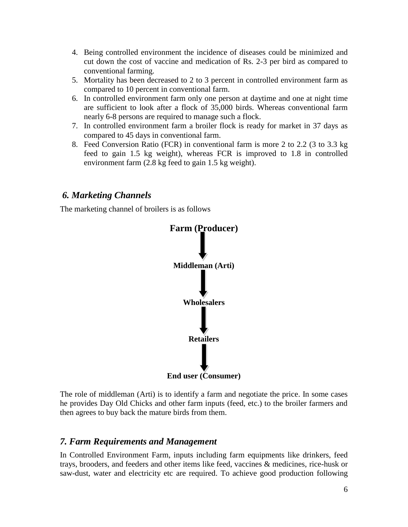- 4. Being controlled environment the incidence of diseases could be minimized and cut down the cost of vaccine and medication of Rs. 2-3 per bird as compared to conventional farming.
- 5. Mortality has been decreased to 2 to 3 percent in controlled environment farm as compared to 10 percent in conventional farm.
- 6. In controlled environment farm only one person at daytime and one at night time are sufficient to look after a flock of 35,000 birds. Whereas conventional farm nearly 6-8 persons are required to manage such a flock.
- 7. In controlled environment farm a broiler flock is ready for market in 37 days as compared to 45 days in conventional farm.
- 8. Feed Conversion Ratio (FCR) in conventional farm is more 2 to 2.2 (3 to 3.3 kg feed to gain 1.5 kg weight), whereas FCR is improved to 1.8 in controlled environment farm (2.8 kg feed to gain 1.5 kg weight).

## <span id="page-6-0"></span>*6. Marketing Channels*

The marketing channel of broilers is as follows



The role of middleman (Arti) is to identify a farm and negotiate the price. In some cases he provides Day Old Chicks and other farm inputs (feed, etc.) to the broiler farmers and then agrees to buy back the mature birds from them.

#### <span id="page-6-1"></span>*7. Farm Requirements and Management*

In Controlled Environment Farm, inputs including farm equipments like drinkers, feed trays, brooders, and feeders and other items like feed, vaccines & medicines, rice-husk or saw-dust, water and electricity etc are required. To achieve good production following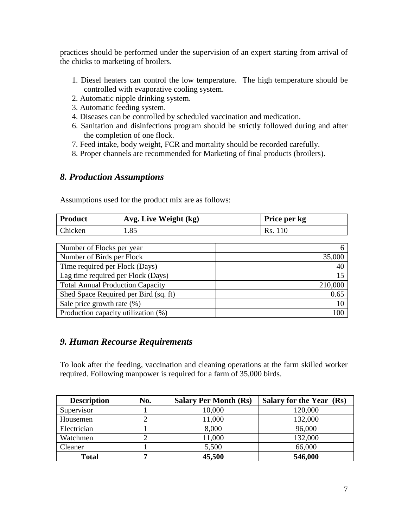practices should be performed under the supervision of an expert starting from arrival of the chicks to marketing of broilers.

- 1. Diesel heaters can control the low temperature. The high temperature should be controlled with evaporative cooling system.
- 2. Automatic nipple drinking system.
- 3. Automatic feeding system.
- 4. Diseases can be controlled by scheduled vaccination and medication.
- 6. Sanitation and disinfections program should be strictly followed during and after the completion of one flock.
- 7. Feed intake, body weight, FCR and mortality should be recorded carefully.
- 8. Proper channels are recommended for Marketing of final products (broilers).

## <span id="page-7-0"></span>*8. Production Assumptions*

Assumptions used for the product mix are as follows:

| <b>Product</b> | Avg. Live Weight (kg) | Price per kg |
|----------------|-----------------------|--------------|
| Chicken        | 1.85                  | Rs. 110      |

| Number of Flocks per year               |         |
|-----------------------------------------|---------|
| Number of Birds per Flock               | 35,000  |
| Time required per Flock (Days)          | 40      |
| Lag time required per Flock (Days)      | 15      |
| <b>Total Annual Production Capacity</b> | 210,000 |
| Shed Space Required per Bird (sq. ft)   | 0.65    |
| Sale price growth rate $(\%)$           | 10      |
| Production capacity utilization (%)     |         |

## <span id="page-7-1"></span>*9. Human Recourse Requirements*

To look after the feeding, vaccination and cleaning operations at the farm skilled worker required. Following manpower is required for a farm of 35,000 birds.

| <b>Description</b> | No. | <b>Salary Per Month (Rs)</b> | Salary for the Year (Rs) |
|--------------------|-----|------------------------------|--------------------------|
| Supervisor         |     | 10,000                       | 120,000                  |
| Housemen           |     | 11,000                       | 132,000                  |
| Electrician        |     | 8,000                        | 96,000                   |
| Watchmen           |     | 11,000                       | 132,000                  |
| Cleaner            |     | 5,500                        | 66,000                   |
| <b>Total</b>       | ៗ   | 45,500                       | 546,000                  |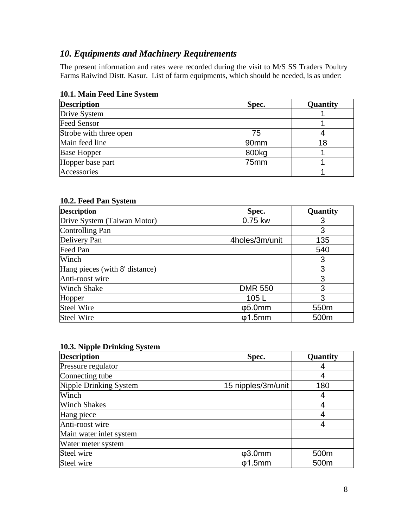## <span id="page-8-0"></span>*10. Equipments and Machinery Requirements*

The present information and rates were recorded during the visit to M/S SS Traders Poultry Farms Raiwind Distt. Kasur. List of farm equipments, which should be needed, is as under:

| <b>Description</b>     | Spec.            | Quantity |
|------------------------|------------------|----------|
| Drive System           |                  |          |
| <b>Feed Sensor</b>     |                  |          |
| Strobe with three open | 75               |          |
| Main feed line         | 90 <sub>mm</sub> | 18       |
| <b>Base Hopper</b>     | 800kg            |          |
| Hopper base part       | 75mm             |          |
| Accessories            |                  |          |

#### **10.1. Main Feed Line System**

#### **10.2. Feed Pan System**

| <b>Description</b>             | Spec.          | Quantity |
|--------------------------------|----------------|----------|
| Drive System (Taiwan Motor)    | 0.75 kw        |          |
| Controlling Pan                |                | 3        |
| Delivery Pan                   | 4holes/3m/unit | 135      |
| Feed Pan                       |                | 540      |
| Winch                          |                | 3        |
| Hang pieces (with 8' distance) |                | 3        |
| Anti-roost wire                |                | 3        |
| <b>Winch Shake</b>             | <b>DMR 550</b> | 3        |
| Hopper                         | 105L           | 3        |
| <b>Steel Wire</b>              | $\phi$ 5.0mm   | 550m     |
| <b>Steel Wire</b>              | $\phi$ 1.5mm   | 500m     |

| 10.3. Nipple Drinking System |                    |          |  |  |
|------------------------------|--------------------|----------|--|--|
| <b>Description</b>           | Spec.              | Quantity |  |  |
| Pressure regulator           |                    |          |  |  |
| Connecting tube              |                    |          |  |  |
| Nipple Drinking System       | 15 nipples/3m/unit | 180      |  |  |
| Winch                        |                    |          |  |  |
| <b>Winch Shakes</b>          |                    |          |  |  |
| Hang piece                   |                    |          |  |  |
| Anti-roost wire              |                    |          |  |  |
| Main water inlet system      |                    |          |  |  |
| Water meter system           |                    |          |  |  |
| Steel wire                   | $\phi$ 3.0mm       | 500m     |  |  |
| Steel wire                   | $\phi$ 1.5mm       | 500m     |  |  |

### **10.3. Nipple Drinking System**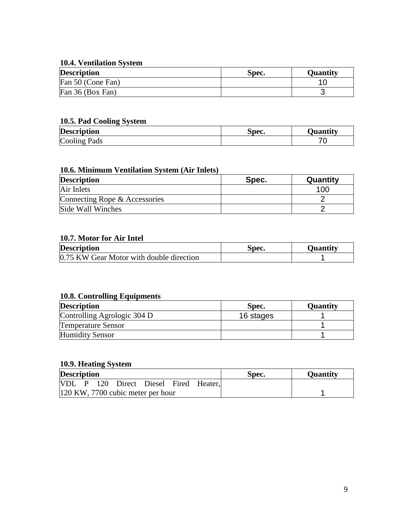#### **10.4. Ventilation System**

| <b>Description</b> | Spec. | Ouantitv |
|--------------------|-------|----------|
| Fan 50 (Cone Fan)  |       |          |
| Fan 36 (Box Fan)   |       |          |

#### **10.5. Pad Cooling System**

| <b>Description</b> | Spec. | <b>)uantity</b> |
|--------------------|-------|-----------------|
| Cooling Pads       |       |                 |

## **10.6. Minimum Ventilation System (Air Inlets)**

| <b>Description</b>            | Spec. | Quantity |
|-------------------------------|-------|----------|
| Air Inlets                    |       | 100      |
| Connecting Rope & Accessories |       |          |
| Side Wall Winches             |       |          |

#### **10.7. Motor for Air Intel**

| <b>Description</b>                       | spec. | Ouantitv |
|------------------------------------------|-------|----------|
| 0.75 KW Gear Motor with double direction |       |          |

#### **10.8. Controlling Equipments**

| <b>Description</b>          | Spec.     | <b>Quantity</b> |
|-----------------------------|-----------|-----------------|
| Controlling Agrologic 304 D | 16 stages |                 |
| <b>Temperature Sensor</b>   |           |                 |
| <b>Humidity Sensor</b>      |           |                 |

## **10.9. Heating System**

| <b>Description</b>                |  |  |  |                                       |  | Spec. | <b>Quantity</b> |  |
|-----------------------------------|--|--|--|---------------------------------------|--|-------|-----------------|--|
|                                   |  |  |  | VDL P 120 Direct Diesel Fired Heater, |  |       |                 |  |
| 120 KW, 7700 cubic meter per hour |  |  |  |                                       |  |       |                 |  |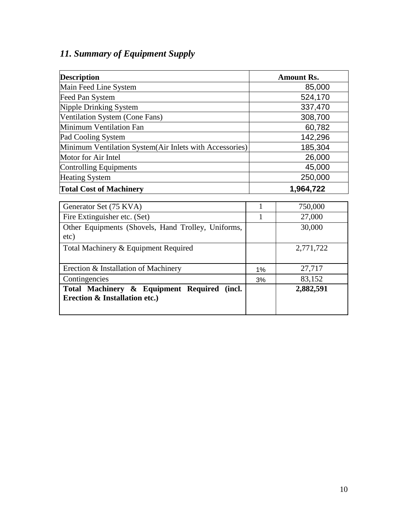# <span id="page-10-0"></span>*11. Summary of Equipment Supply*

| <b>Description</b>                                      | <b>Amount Rs.</b> |
|---------------------------------------------------------|-------------------|
| Main Feed Line System                                   | 85,000            |
| Feed Pan System                                         | 524,170           |
| Nipple Drinking System                                  | 337,470           |
| Ventilation System (Cone Fans)                          | 308,700           |
| Minimum Ventilation Fan                                 | 60,782            |
| Pad Cooling System                                      | 142,296           |
| Minimum Ventilation System(Air Inlets with Accessories) | 185,304           |
| Motor for Air Intel                                     | 26,000            |
| Controlling Equipments                                  | 45,000            |
| <b>Heating System</b>                                   | 250,000           |
| <b>Total Cost of Machinery</b>                          | 1,964,722         |

| Generator Set (75 KVA)                                                                  |       | 750,000   |
|-----------------------------------------------------------------------------------------|-------|-----------|
| Fire Extinguisher etc. (Set)                                                            |       | 27,000    |
| Other Equipments (Shovels, Hand Trolley, Uniforms,<br>etc)                              |       | 30,000    |
| Total Machinery & Equipment Required                                                    |       | 2,771,722 |
| Erection & Installation of Machinery                                                    | $1\%$ | 27,717    |
| Contingencies                                                                           | 3%    | 83,152    |
| Total Machinery & Equipment Required (incl.<br><b>Erection &amp; Installation etc.)</b> |       | 2,882,591 |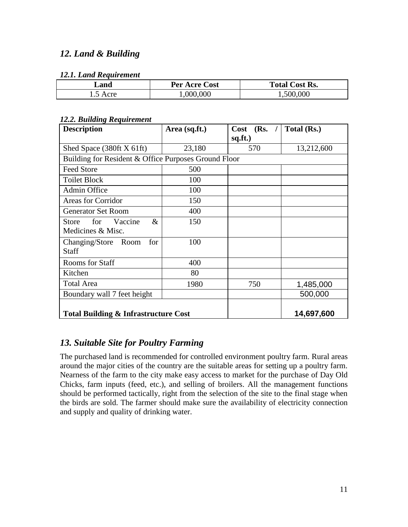## <span id="page-11-0"></span>*12. Land & Building*

#### *12.1. Land Requirement*

| Land     | <b>Per Acre Cost</b> | <b>Total Cost Rs.</b> |
|----------|----------------------|-----------------------|
| 1.5 Acre | 1,000,000            | 1,500,000             |

#### *12.2. Building Requirement*

| <b>Description</b>                                   | Area (sq.ft.) | $Cost$ (Rs. /<br>sq.ft.) | Total (Rs.) |
|------------------------------------------------------|---------------|--------------------------|-------------|
| Shed Space (380ft X 61ft)                            | 23,180        | 570                      | 13,212,600  |
| Building for Resident & Office Purposes Ground Floor |               |                          |             |
| <b>Feed Store</b>                                    | 500           |                          |             |
| <b>Toilet Block</b>                                  | 100           |                          |             |
| Admin Office                                         | 100           |                          |             |
| <b>Areas for Corridor</b>                            | 150           |                          |             |
| <b>Generator Set Room</b>                            | 400           |                          |             |
| $\&$<br>for<br>Vaccine<br><b>Store</b>               | 150           |                          |             |
| Medicines & Misc.                                    |               |                          |             |
| Changing/Store Room<br>for                           | 100           |                          |             |
| Staff                                                |               |                          |             |
| Rooms for Staff                                      | 400           |                          |             |
| Kitchen                                              | 80            |                          |             |
| <b>Total Area</b>                                    | 1980          | 750                      | 1,485,000   |
| Boundary wall 7 feet height                          |               |                          | 500,000     |
| <b>Total Building &amp; Infrastructure Cost</b>      |               |                          | 14,697,600  |

## <span id="page-11-1"></span>*13. Suitable Site for Poultry Farming*

The purchased land is recommended for controlled environment poultry farm. Rural areas around the major cities of the country are the suitable areas for setting up a poultry farm. Nearness of the farm to the city make easy access to market for the purchase of Day Old Chicks, farm inputs (feed, etc.), and selling of broilers. All the management functions should be performed tactically, right from the selection of the site to the final stage when the birds are sold. The farmer should make sure the availability of electricity connection and supply and quality of drinking water.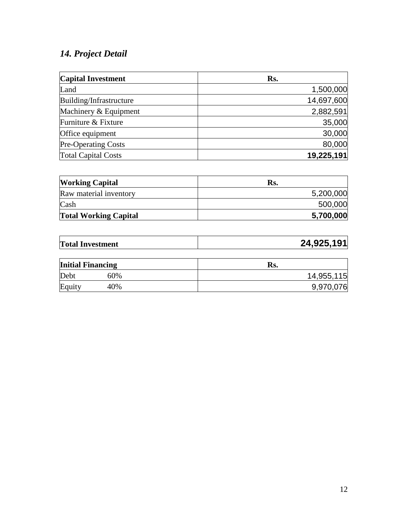## <span id="page-12-0"></span>*14. Project Detail*

| <b>Capital Investment</b>  | Rs.        |
|----------------------------|------------|
| Land                       | 1,500,000  |
| Building/Infrastructure    | 14,697,600 |
| Machinery & Equipment      | 2,882,591  |
| Furniture & Fixture        | 35,000     |
| Office equipment           | 30,000     |
| <b>Pre-Operating Costs</b> | 80,000     |
| <b>Total Capital Costs</b> | 19,225,191 |

| <b>Working Capital</b>       | R <sub>S</sub> . |
|------------------------------|------------------|
| Raw material inventory       | 5,200,000        |
| Cash                         | 500,000          |
| <b>Total Working Capital</b> | 5,700,000        |

| <b>Total Investment</b>  |     | 24,925,191 |
|--------------------------|-----|------------|
| <b>Initial Financing</b> |     | Rs.        |
| Debt                     | 60% | 14,955,115 |
| Equity                   | 40% | 9,970,076  |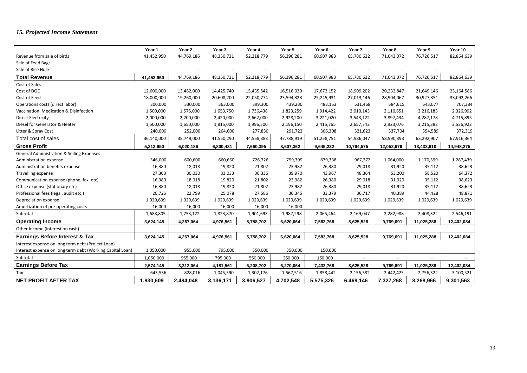# <span id="page-13-0"></span>*15. Projected Income Statement*

|                                                           | Year 1     | Year 2     | Year 3     | Year 4     | Year 5     | Year 6     | Year 7     | Year 8     | Year 9     | Year 10          |
|-----------------------------------------------------------|------------|------------|------------|------------|------------|------------|------------|------------|------------|------------------|
| Revenue from sale of birds                                | 41,452,950 | 44,769,186 | 48,350,721 | 52,218,779 | 56,396,281 | 60,907,983 | 65,780,622 | 71,043,072 | 76,726,517 | 82,864,639       |
| Sale of Feed Bags                                         |            |            |            |            |            |            |            |            |            |                  |
| Sale of Rice Husk                                         |            |            |            |            |            |            |            |            |            |                  |
| <b>Total Revenue</b>                                      | 41,452,950 | 44,769,186 | 48,350,721 | 52,218,779 | 56,396,281 | 60,907,983 | 65,780,622 | 71,043,072 | 76,726,517 | 82,864,639       |
| Cost of Sales                                             |            |            |            |            |            |            |            |            |            |                  |
| Cost of DOC                                               | 12,600,000 | 13,482,000 | 14,425,740 | 15,435,542 | 16,516,030 | 17,672,152 | 18,909,202 | 20,232,847 | 21,649,146 | 23,164,586       |
| Cost of Feed                                              | 18,000,000 | 19,260,000 | 20,608,200 | 22,050,774 | 23,594,328 | 25,245,931 | 27,013,146 | 28,904,067 | 30,927,351 | 33,092,266       |
| Operations costs (direct labor)                           | 300,000    | 330,000    | 363,000    | 399,300    | 439,230    | 483,153    | 531,468    | 584,615    | 643,077    | 707,384          |
| Vaccination, Medication & Disinfection                    | 1,500,000  | 1,575,000  | 1,653,750  | 1,736,438  | 1,823,259  | 1,914,422  | 2,010,143  | 2,110,651  | 2,216,183  | 2,326,992        |
| <b>Direct Electricity</b>                                 | 2,000,000  | 2,200,000  | 2,420,000  | 2,662,000  | 2,928,200  | 3,221,020  | 3,543,122  | 3,897,434  | 4,287,178  | 4,715,895        |
| Diesel for Generator & Heater                             | 1,500,000  | 1,650,000  | 1,815,000  | 1,996,500  | 2,196,150  | 2,415,765  | 2,657,342  | 2,923,076  | 3,215,383  | 3,536,922        |
| Litter & Spray Cost                                       | 240,000    | 252,000    | 264,600    | 277,830    | 291,722    | 306,308    | 321,623    | 337,704    | 354,589    | 372,319          |
| Total cost of sales                                       | 36,140,000 | 38,749,000 | 41,550,290 | 44,558,383 | 47,788,919 | 51,258,751 | 54,986,047 | 58,990,393 | 63,292,907 | 67,916,364       |
| <b>Gross Profit</b>                                       | 5,312,950  | 6,020,186  | 6,800,431  | 7,660,395  | 8,607,362  | 9,649,232  | 10,794,575 | 12,052,679 | 13,433,610 | 14,948,275       |
| <b>General Administration &amp; Selling Expenses</b>      |            |            |            |            |            |            |            |            |            |                  |
| Administration expense                                    | 546,000    | 600,600    | 660,660    | 726,726    | 799,399    | 879,338    | 967,272    | 1,064,000  | 1,170,399  | 1,287,439        |
| Administration benefits expense                           | 16,380     | 18,018     | 19,820     | 21,802     | 23,982     | 26,380     | 29,018     | 31,920     | 35,112     | 38,623           |
| Travelling expense                                        | 27,300     | 30,030     | 33,033     | 36,336     | 39,970     | 43,967     | 48,364     | 53,200     | 58,520     | 64,372           |
| Communication expense (phone, fax. etc)                   | 16,380     | 18,018     | 19,820     | 21,802     | 23,982     | 26,380     | 29,018     | 31,920     | 35,112     | 38,623           |
| Office expense (stationary etc)                           | 16,380     | 18,018     | 19,820     | 21,802     | 23,982     | 26,380     | 29,018     | 31,920     | 35,112     | 38,623           |
| Professional fees (legal, audit etc.)                     | 20,726     | 22,799     | 25,078     | 27,586     | 30,345     | 33,379     | 36,717     | 40,389     | 44,428     | 48,871           |
| Depreciation expense                                      | 1,029,639  | 1,029,639  | 1,029,639  | 1,029,639  | 1,029,639  | 1,029,639  | 1,029,639  | 1,029,639  | 1,029,639  | 1,029,639        |
| Amortization of pre-operating costs                       | 16,000     | 16,000     | 16,000     | 16,000     | 16,000     |            |            |            |            |                  |
| Subtotal                                                  | 1,688,805  | 1,753,122  | 1,823,870  | 1,901,693  | 1,987,298  | 2,065,464  | 2,169,047  | 2,282,988  | 2,408,322  | 2,546,191        |
| <b>Operating Income</b>                                   | 3,624,145  | 4,267,064  | 4,976,561  | 5,758,702  | 6,620,064  | 7,583,768  | 8,625,528  | 9,769,691  | 11,025,288 | 12,402,084       |
| Other Income (interest on cash)                           |            |            |            |            |            |            |            |            |            |                  |
| <b>Earnings Before Interest &amp; Tax</b>                 | 3,624,145  | 4,267,064  | 4,976,561  | 5,758,702  | 6,620,064  | 7,583,768  | 8,625,528  | 9,769,691  | 11,025,288 | 12,402,084       |
| Interest expense on long term debt (Project Loan)         |            |            |            |            |            |            |            |            |            |                  |
| Interest expense on long term debt (Working Capital Loan) | 1,050,000  | 955,000    | 795,000    | 550,000    | 350,000    | 150,000    |            |            |            |                  |
| Subtotal                                                  | 1,050,000  | 955,000    | 795,000    | 550,000    | 350,000    | 150,000    | $\sim$     | $\sim$     | $\sim$     | $\sim$ 100 $\pm$ |
| <b>Earnings Before Tax</b>                                | 2,574,145  | 3,312,064  | 4,181,561  | 5,208,702  | 6,270,064  | 7,433,768  | 8,625,528  | 9,769,691  | 11,025,288 | 12,402,084       |
| Tax                                                       | 643,536    | 828,016    | 1,045,390  | 1,302,176  | 1,567,516  | 1,858,442  | 2,156,382  | 2,442,423  | 2,756,322  | 3,100,521        |
| <b>NET PROFIT AFTER TAX</b>                               | 1,930,609  | 2,484,048  | 3,136,171  | 3,906,527  | 4,702,548  | 5,575,326  | 6,469,146  | 7,327,268  | 8,268,966  | 9,301,563        |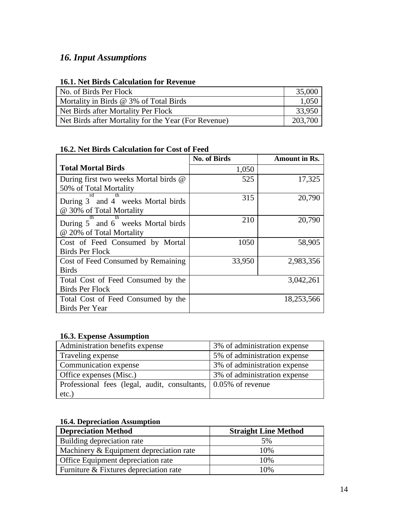## <span id="page-14-0"></span>*16. Input Assumptions*

## **16.1. Net Birds Calculation for Revenue**

| No. of Birds Per Flock                               | 35,000  |
|------------------------------------------------------|---------|
| Mortality in Birds $@$ 3% of Total Birds             | 1,050   |
| Net Birds after Mortality Per Flock                  | 33,950  |
| Net Birds after Mortality for the Year (For Revenue) | 203,700 |

#### **16.2. Net Birds Calculation for Cost of Feed**

|                                       | <b>No. of Birds</b> | Amount in Rs. |
|---------------------------------------|---------------------|---------------|
| <b>Total Mortal Birds</b>             | 1,050               |               |
| During first two weeks Mortal birds @ | 525                 | 17,325        |
| 50% of Total Mortality                |                     |               |
| During 3 and 4 weeks Mortal birds     | 315                 | 20,790        |
| @ 30% of Total Mortality              |                     |               |
| During 5 and 6 weeks Mortal birds     | 210                 | 20,790        |
| @ 20% of Total Mortality              |                     |               |
| Cost of Feed Consumed by Mortal       | 1050                | 58,905        |
| <b>Birds Per Flock</b>                |                     |               |
| Cost of Feed Consumed by Remaining    | 33,950              | 2,983,356     |
| <b>Birds</b>                          |                     |               |
| Total Cost of Feed Consumed by the    |                     | 3,042,261     |
| <b>Birds Per Flock</b>                |                     |               |
| Total Cost of Feed Consumed by the    |                     | 18,253,566    |
| <b>Birds Per Year</b>                 |                     |               |

#### **16.3. Expense Assumption**

| Administration benefits expense                                | 3% of administration expense |
|----------------------------------------------------------------|------------------------------|
| Traveling expense                                              | 5% of administration expense |
| Communication expense                                          | 3% of administration expense |
| Office expenses (Misc.)                                        | 3% of administration expense |
| Professional fees (legal, audit, consultants, 0.05% of revenue |                              |
| etc.)                                                          |                              |

#### **16.4. Depreciation Assumption**

| <b>Depreciation Method</b>              | <b>Straight Line Method</b> |
|-----------------------------------------|-----------------------------|
| Building depreciation rate              | 5%                          |
| Machinery & Equipment depreciation rate | 10%                         |
| Office Equipment depreciation rate      | 10%                         |
| Furniture & Fixtures depreciation rate  | 10%                         |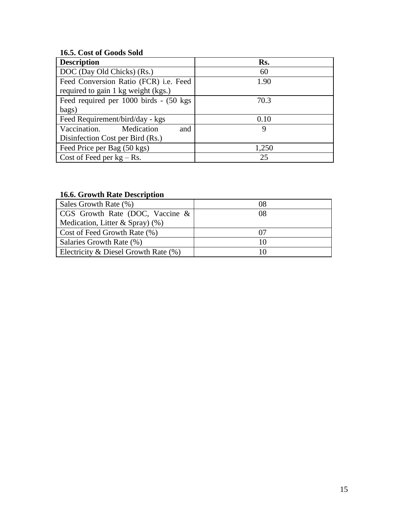## **16.5. Cost of Goods Sold**

| <b>Description</b>                      | Rs.   |
|-----------------------------------------|-------|
| DOC (Day Old Chicks) (Rs.)              | 60    |
| Feed Conversion Ratio (FCR) i.e. Feed   | 1.90  |
| required to gain 1 kg weight (kgs.)     |       |
| Feed required per 1000 birds - (50 kgs) | 70.3  |
| bags)                                   |       |
| Feed Requirement/bird/day - kgs         | 0.10  |
| Vaccination. Medication<br>and          | 9     |
| Disinfection Cost per Bird (Rs.)        |       |
| Feed Price per Bag (50 kgs)             | 1,250 |
| Cost of Feed per $kg - Rs$ .            | 25    |

## **16.6. Growth Rate Description**

| Sales Growth Rate (%)                   | 08 |
|-----------------------------------------|----|
| CGS Growth Rate (DOC, Vaccine $\&$      | 08 |
| Medication, Litter & Spray) $(\%)$      |    |
| Cost of Feed Growth Rate (%)            |    |
| Salaries Growth Rate (%)                | 10 |
| Electricity & Diesel Growth Rate $(\%)$ |    |